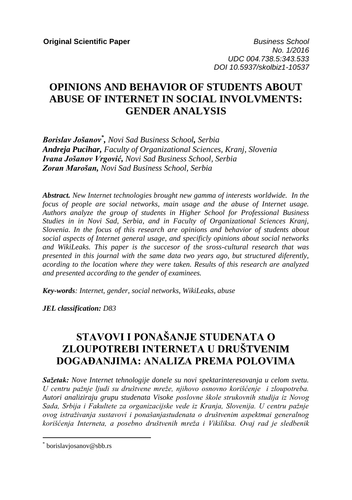**Original Scientific Paper** *Business School* **<b>***Business School No. 1/2016 UDC 004.738.5:343.533 DOI 10.5937/skolbiz1-10537*

# **OPINIONS AND BEHAVIOR OF STUDENTS ABOUT ABUSE OF INTERNET IN SOCIAL INVOLVMENTS: GENDER ANALYSIS**

*Borislav Jošanov\* , Novi Sad Business School, Serbia Andreja Pucihar, Faculty of Organizational Sciences, Kranj, Slovenia Ivana Jošanov Vrgović, Novi Sad Business School, Serbia Zoran Marošan, Novi Sad Business School, Serbia*

*Abstract. New Internet technologies brought new gamma of interests worldwide. In the focus of people are social networks, main usage and the abuse of Internet usage. Authors analyze the group of students in Higher School for Professional Business Studies in in Novi Sad, Serbia, and in Faculty of Organizational Sciences Kranj, Slovenia. In the focus of this research are opinions and behavior of students about social aspects of Internet general usage, and specificly opinions about social networks and WikiLeaks. This paper is the succesor of the sross-cultural research that was presented in this journal with the same data two years ago, but structured diferently, acording to the location where they were taken. Results of this research are analyzed and presented according to the gender of examinees.*

*Key-words: Internet, gender, social networks, WikiLeaks, abuse*

*JEL classification: D83*

# **STAVOVI I PONAŠANJE STUDENATA O ZLOUPOTREBI INTERNETA U DRUŠTVENIM DOGAĐANJIMA: ANALIZA PREMA POLOVIMA**

*Sažetak: Nove Internet tehnologije donele su novi spektarinteresovanja u celom svetu. U centru pažnje ljudi su društvene mreže, njihovo osnovno korišćenje i zloupotreba. Autori analiziraju grupu studenata Visoke poslovne škole strukovnih studija iz Novog Sada, Srbija i Fakultete za organizacijske vede iz Kranja, Slovenija. U centru pažnje ovog istraživanja sustavovi i ponašanjastudenata o društvenim aspektmai generalnog korišćenja Interneta, a posebno društvenih mreža i Vikiliksa. Ovaj rad je sledbenik* 

 $\overline{a}$ 

<sup>\*</sup> borislavjosanov@sbb.rs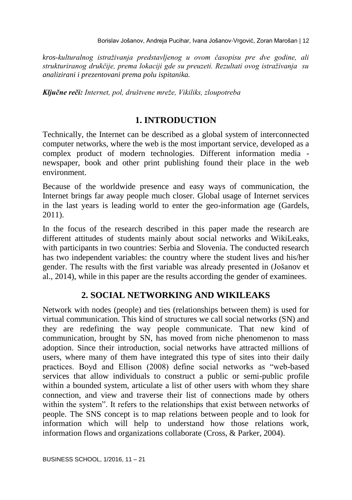*kros-kulturalnog istraživanja predstavljenog u ovom časopisu pre dve godine, ali strukturiranog drukčije, prema lokaciji gde su preuzeti. Rezultati ovog istraživanja su analizirani i prezentovani prema polu ispitanika.* 

*Ključne reči: Internet, pol, društvene mreže, Vikiliks, zloupotreba*

## **1. INTRODUCTION**

Technically, the Internet can be described as a global system of interconnected computer networks, where the web is the most important service, developed as a complex product of modern technologies. Different information media newspaper, book and other print publishing found their place in the web environment.

Because of the worldwide presence and easy ways of communication, the Internet brings far away people much closer. Global usage of Internet services in the last years is leading world to enter the geo-information age (Gardels, 2011).

In the focus of the research described in this paper made the research are different attitudes of students mainly about social networks and WikiLeaks, with participants in two countries: Serbia and Slovenia. The conducted research has two independent variables: the country where the student lives and his/her gender. The results with the first variable was already presented in (Jošanov et al., 2014), while in this paper are the results according the gender of examinees.

# **2. SOCIAL NETWORKING AND WIKILEAKS**

Network with nodes (people) and ties (relationships between them) is used for virtual communication. This kind of structures we call social networks (SN) and they are redefining the way people communicate. That new kind of communication, brought by SN, has moved from niche phenomenon to mass adoption. Since their introduction, social networks have attracted millions of users, where many of them have integrated this type of sites into their daily practices. Boyd and Ellison (2008) define social networks as "web-based services that allow individuals to construct a public or semi-public profile within a bounded system, articulate a list of other users with whom they share connection, and view and traverse their list of connections made by others within the system". It refers to the relationships that exist between networks of people. The SNS concept is to map relations between people and to look for information which will help to understand how those relations work, information flows and organizations collaborate (Cross, & Parker, 2004).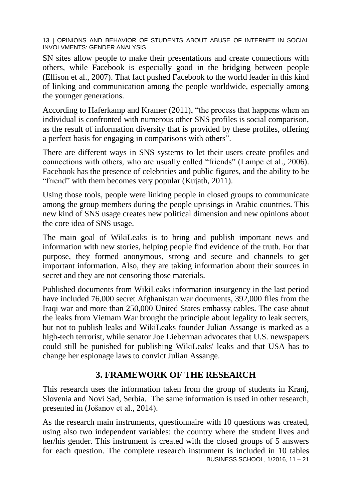SN sites allow people to make their presentations and create connections with others, while Facebook is especially good in the bridging between people (Ellison et al., 2007). That fact pushed Facebook to the world leader in this kind of linking and communication among the people worldwide, especially among the younger generations.

According to Haferkamp and Kramer (2011), "the process that happens when an individual is confronted with numerous other SNS profiles is social comparison, as the result of information diversity that is provided by these profiles, offering a perfect basis for engaging in comparisons with others".

There are different ways in SNS systems to let their users create profiles and connections with others, who are usually called "friends" (Lampe et al., 2006). Facebook has the presence of celebrities and public figures, and the ability to be "friend" with them becomes very popular (Kujath, 2011).

Using those tools, people were linking people in closed groups to communicate among the group members during the people uprisings in Arabic countries. This new kind of SNS usage creates new political dimension and new opinions about the core idea of SNS usage.

The main goal of WikiLeaks is to bring and publish important news and information with new stories, helping people find evidence of the truth. For that purpose, they formed anonymous, strong and secure and channels to get important information. Also, they are taking information about their sources in secret and they are not censoring those materials.

Published documents from WikiLeaks information insurgency in the last period have included 76,000 secret Afghanistan war documents, 392,000 files from the Iraqi war and more than 250,000 United States embassy cables. The case about the leaks from Vietnam War brought the principle about legality to leak secrets, but not to publish leaks and WikiLeaks founder Julian Assange is marked as a high-tech terrorist, while senator Joe Lieberman advocates that U.S. newspapers could still be punished for publishing WikiLeaks' leaks and that USA has to change her espionage laws to convict Julian Assange.

# **3. FRAMEWORK OF THE RESEARCH**

This research uses the information taken from the group of students in Kranj, Slovenia and Novi Sad, Serbia. The same information is used in other research, presented in (Jošanov et al., 2014).

BUSINESS SCHOOL, 1/2016, 11 – 21 As the research main instruments, questionnaire with 10 questions was created, using also two independent variables: the country where the student lives and her/his gender. This instrument is created with the closed groups of 5 answers for each question. The complete research instrument is included in 10 tables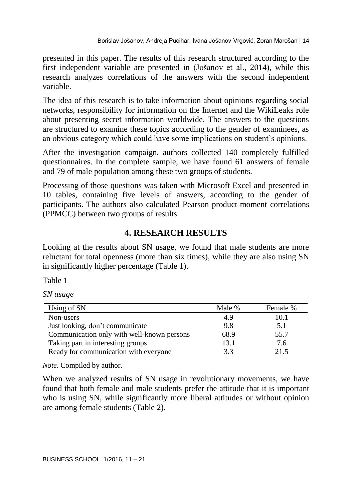presented in this paper. The results of this research structured according to the first independent variable are presented in (Jošanov et al., 2014), while this research analyzes correlations of the answers with the second independent variable.

The idea of this research is to take information about opinions regarding social networks, responsibility for information on the Internet and the WikiLeaks role about presenting secret information worldwide. The answers to the questions are structured to examine these topics according to the gender of examinees, as an obvious category which could have some implications on student's opinions.

After the investigation campaign, authors collected 140 completely fulfilled questionnaires. In the complete sample, we have found 61 answers of female and 79 of male population among these two groups of students.

Processing of those questions was taken with Microsoft Excel and presented in 10 tables, containing five levels of answers, according to the gender of participants. The authors also calculated Pearson product-moment correlations (PPMCC) between two groups of results.

# **4. RESEARCH RESULTS**

Looking at the results about SN usage, we found that male students are more reluctant for total openness (more than six times), while they are also using SN in significantly higher percentage (Table 1).

Table 1

*SN usage*

| Using of SN                                | Male % | Female % |
|--------------------------------------------|--------|----------|
| Non-users                                  | 4.9    | 10.1     |
| Just looking, don't communicate            | 9.8    | 5.1      |
| Communication only with well-known persons | 68.9   | 55.7     |
| Taking part in interesting groups          | 13.1   | 7.6      |
| Ready for communication with everyone      | 3.3    | 21.5     |

*Note*. Compiled by author.

When we analyzed results of SN usage in revolutionary movements, we have found that both female and male students prefer the attitude that it is important who is using SN, while significantly more liberal attitudes or without opinion are among female students (Table 2).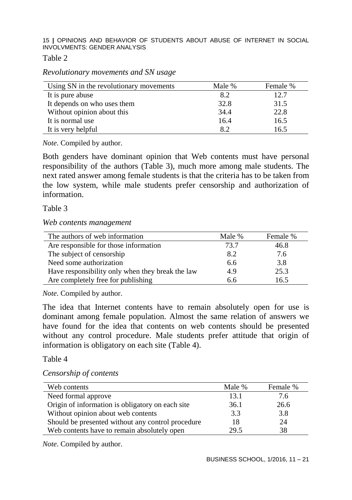Table 2

*Revolutionary movements and SN usage*

| Using SN in the revolutionary movements | Male % | Female % |
|-----------------------------------------|--------|----------|
| It is pure abuse                        | 8.2    | 12.7     |
| It depends on who uses them             | 32.8   | 31.5     |
| Without opinion about this              | 34.4   | 22.8     |
| It is normal use                        | 16.4   | 16.5     |
| It is very helpful                      | 8.2    | 16.5     |

*Note*. Compiled by author.

Both genders have dominant opinion that Web contents must have personal responsibility of the authors (Table 3), much more among male students. The next rated answer among female students is that the criteria has to be taken from the low system, while male students prefer censorship and authorization of information.

Table 3

*Web contents management*

| The authors of web information                   | Male % | Female % |
|--------------------------------------------------|--------|----------|
| Are responsible for those information            | 73.7   | 46.8     |
| The subject of censorship                        | 8.2    | 7.6      |
| Need some authorization                          | 6.6    | 3.8      |
| Have responsibility only when they break the law | 4.9    | 25.3     |
| Are completely free for publishing               | 6.6    | 16.5     |

*Note*. Compiled by author.

The idea that Internet contents have to remain absolutely open for use is dominant among female population. Almost the same relation of answers we have found for the idea that contents on web contents should be presented without any control procedure. Male students prefer attitude that origin of information is obligatory on each site (Table 4).

Table 4

#### *Censorship of contents*

| Web contents                                      | Male % | Female % |
|---------------------------------------------------|--------|----------|
| Need formal approve                               | 13.1   | 7.6      |
| Origin of information is obligatory on each site  | 36.1   | 26.6     |
| Without opinion about web contents                | 3.3    | 3.8      |
| Should be presented without any control procedure | 18     | 24       |
| Web contents have to remain absolutely open       | 29.5   | 38       |

*Note*. Compiled by author.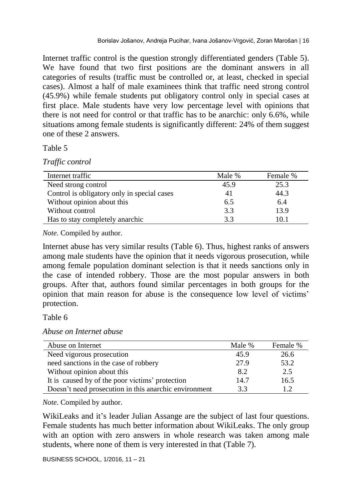Internet traffic control is the question strongly differentiated genders (Table 5). We have found that two first positions are the dominant answers in all categories of results (traffic must be controlled or, at least, checked in special cases). Almost a half of male examinees think that traffic need strong control (45.9%) while female students put obligatory control only in special cases at first place. Male students have very low percentage level with opinions that there is not need for control or that traffic has to be anarchic: only 6.6%, while situations among female students is significantly different: 24% of them suggest one of these 2 answers.

Table 5

*Traffic control*

| Internet traffic                            | Male % | Female % |
|---------------------------------------------|--------|----------|
| Need strong control                         | 45.9   | 25.3     |
| Control is obligatory only in special cases | 41     | 44.3     |
| Without opinion about this                  | 6.5    | 6.4      |
| Without control                             | 3.3    | 13.9     |
| Has to stay completely anarchic             | 3.3    | 10.1     |

*Note*. Compiled by author.

Internet abuse has very similar results (Table 6). Thus, highest ranks of answers among male students have the opinion that it needs vigorous prosecution, while among female population dominant selection is that it needs sanctions only in the case of intended robbery. Those are the most popular answers in both groups. After that, authors found similar percentages in both groups for the opinion that main reason for abuse is the consequence low level of victims' protection.

Table 6

|  |  | Abuse on Internet abuse |  |
|--|--|-------------------------|--|
|--|--|-------------------------|--|

| Abuse on Internet                                     | Male % | Female % |
|-------------------------------------------------------|--------|----------|
| Need vigorous prosecution                             | 45.9   | 26.6     |
| need sanctions in the case of robbery                 | 27.9   | 53.2     |
| Without opinion about this                            | 8.2    | 2.5      |
| It is caused by of the poor victims' protection       | 14.7   | 16.5     |
| Doesn't need prosecution in this anarchic environment | 3.3    | 12       |

*Note*. Compiled by author.

WikiLeaks and it's leader Julian Assange are the subject of last four questions. Female students has much better information about WikiLeaks. The only group with an option with zero answers in whole research was taken among male students, where none of them is very interested in that (Table 7).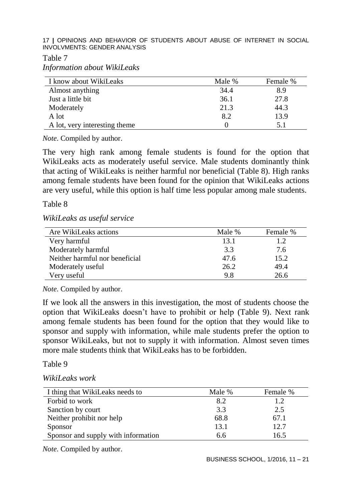Table 7

*Information about WikiLeaks*

| I know about WikiLeaks        | Male % | Female % |
|-------------------------------|--------|----------|
| Almost anything               | 34.4   | 8.9      |
| Just a little bit             | 36.1   | 27.8     |
| Moderately                    | 21.3   | 44.3     |
| A lot                         | 8.2    | 13.9     |
| A lot, very interesting theme |        |          |

*Note*. Compiled by author.

The very high rank among female students is found for the option that WikiLeaks acts as moderately useful service. Male students dominantly think that acting of WikiLeaks is neither harmful nor beneficial (Table 8). High ranks among female students have been found for the opinion that WikiLeaks actions are very useful, while this option is half time less popular among male students.

#### Table 8

*WikiLeaks as useful service*

| Are WikiLeaks actions          | Male % | Female % |
|--------------------------------|--------|----------|
| Very harmful                   | 13.1   | 1.2      |
| Moderately harmful             | 3.3    | 7.6      |
| Neither harmful nor beneficial | 47.6   | 15.2     |
| Moderately useful              | 26.2   | 49.4     |
| Very useful                    | 9.8    | 26.6     |

*Note*. Compiled by author.

If we look all the answers in this investigation, the most of students choose the option that WikiLeaks doesn't have to prohibit or help (Table 9). Next rank among female students has been found for the option that they would like to sponsor and supply with information, while male students prefer the option to sponsor WikiLeaks, but not to supply it with information. Almost seven times more male students think that WikiLeaks has to be forbidden

Table 9

| WikiLeaks work |  |
|----------------|--|
|----------------|--|

| I thing that WikiLeaks needs to     | Male % | Female % |
|-------------------------------------|--------|----------|
| Forbid to work                      | 8.2    | 1.2      |
| Sanction by court                   | 3.3    | 2.5      |
| Neither prohibit nor help           | 68.8   | 67.1     |
| Sponsor                             | 13.1   | 12.7     |
| Sponsor and supply with information | 6.6    | 16.5     |

*Note*. Compiled by author.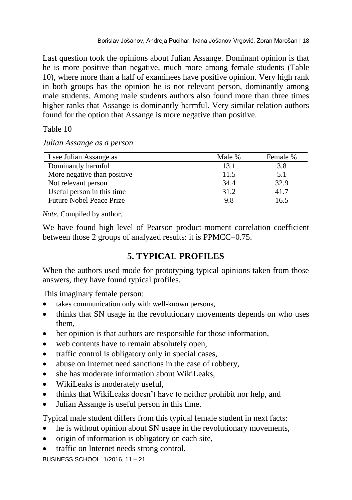Last question took the opinions about Julian Assange. Dominant opinion is that he is more positive than negative, much more among female students (Table 10), where more than a half of examinees have positive opinion. Very high rank in both groups has the opinion he is not relevant person, dominantly among male students. Among male students authors also found more than three times higher ranks that Assange is dominantly harmful. Very similar relation authors found for the option that Assange is more negative than positive.

Table 10

*Julian Assange as a person*

| I see Julian Assange as         | Male % | Female % |
|---------------------------------|--------|----------|
| Dominantly harmful              | 13.1   | 3.8      |
| More negative than positive     | 11.5   | 5.1      |
| Not relevant person             | 34.4   | 32.9     |
| Useful person in this time      | 31.2   | 41.7     |
| <b>Future Nobel Peace Prize</b> | 9.8    | 16.5     |

*Note*. Compiled by author.

We have found high level of Pearson product-moment correlation coefficient between those 2 groups of analyzed results: it is PPMCC=0.75.

# **5. TYPICAL PROFILES**

When the authors used mode for prototyping typical opinions taken from those answers, they have found typical profiles.

This imaginary female person:

- takes communication only with well-known persons,
- thinks that SN usage in the revolutionary movements depends on who uses them,
- her opinion is that authors are responsible for those information,
- web contents have to remain absolutely open,
- traffic control is obligatory only in special cases,
- abuse on Internet need sanctions in the case of robbery,
- she has moderate information about WikiLeaks,
- WikiLeaks is moderately useful,
- thinks that WikiLeaks doesn't have to neither prohibit nor help, and
- Julian Assange is useful person in this time.

Typical male student differs from this typical female student in next facts:

- he is without opinion about SN usage in the revolutionary movements,
- origin of information is obligatory on each site,
- traffic on Internet needs strong control,

BUSINESS SCHOOL, 1/2016, 11 – 21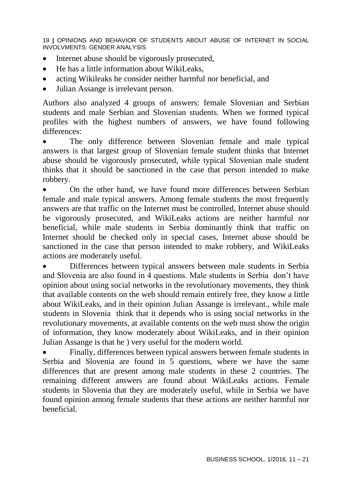- Internet abuse should be vigorously prosecuted,
- He has a little information about WikiLeaks,
- acting Wikileaks he consider neither harmful nor beneficial, and
- Julian Assange is irrelevant person.

Authors also analyzed 4 groups of answers: female Slovenian and Serbian students and male Serbian and Slovenian students. When we formed typical profiles with the highest numbers of answers, we have found following differences:

 The only difference between Slovenian female and male typical answers is that largest group of Slovenian female student thinks that Internet abuse should be vigorously prosecuted, while typical Slovenian male student thinks that it should be sanctioned in the case that person intended to make robbery.

 On the other hand, we have found more differences between Serbian female and male typical answers. Among female students the most frequently answers are that traffic on the Internet must be controlled, Internet abuse should be vigorously prosecuted, and WikiLeaks actions are neither harmful nor beneficial, while male students in Serbia dominantly think that traffic on Internet should be checked only in special cases, Internet abuse should be sanctioned in the case that person intended to make robbery, and WikiLeaks actions are moderately useful.

 Differences between typical answers between male students in Serbia and Slovenia are also found in 4 questions. Male students in Serbia don't have opinion about using social networks in the revolutionary movements, they think that available contents on the web should remain entirely free, they know a little about WikiLeaks, and in their opinion Julian Assange is irrelevant., while male students in Slovenia think that it depends who is using social networks in the revolutionary movements, at available contents on the web must show the origin of information, they know moderately about WikiLeaks, and in their opinion Julian Assange is that he ) very useful for the modern world.

 Finally, differences between typical answers between female students in Serbia and Slovenia are found in 5 questions, where we have the same differences that are present among male students in these 2 countries. The remaining different answers are found about WikiLeaks actions. Female students in Slovenia that they are moderately useful, while in Serbia we have found opinion among female students that these actions are neither harmful nor beneficial.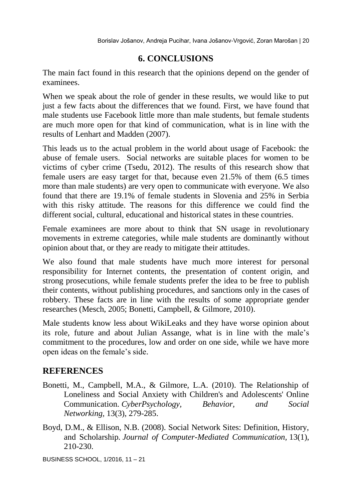## **6. CONCLUSIONS**

The main fact found in this research that the opinions depend on the gender of examinees.

When we speak about the role of gender in these results, we would like to put just a few facts about the differences that we found. First, we have found that male students use Facebook little more than male students, but female students are much more open for that kind of communication, what is in line with the results of Lenhart and Madden (2007).

This leads us to the actual problem in the world about usage of Facebook: the abuse of female users. Social networks are suitable places for women to be victims of cyber crime (Tsedu, 2012). The results of this research show that female users are easy target for that, because even 21.5% of them (6.5 times more than male students) are very open to communicate with everyone. We also found that there are 19.1% of female students in Slovenia and 25% in Serbia with this risky attitude. The reasons for this difference we could find the different social, cultural, educational and historical states in these countries.

Female examinees are more about to think that SN usage in revolutionary movements in extreme categories, while male students are dominantly without opinion about that, or they are ready to mitigate their attitudes.

We also found that male students have much more interest for personal responsibility for Internet contents, the presentation of content origin, and strong prosecutions, while female students prefer the idea to be free to publish their contents, without publishing procedures, and sanctions only in the cases of robbery. These facts are in line with the results of some appropriate gender researches (Mesch, 2005; Bonetti, Campbell, & Gilmore, 2010).

Male students know less about WikiLeaks and they have worse opinion about its role, future and about Julian Assange, what is in line with the male's commitment to the procedures, low and order on one side, while we have more open ideas on the female's side.

# **REFERENCES**

- Bonetti, M., Campbell, M.A., & Gilmore, L.A. (2010). The Relationship of Loneliness and Social Anxiety with Children's and Adolescents' Online Communication. *CyberPsychology, Behavior, and Social Networking,* 13(3), 279-285.
- Boyd, D.M., & Ellison, N.B. (2008). Social Network Sites: Definition, History, and Scholarship. *Journal of Computer-Mediated Communication,* 13(1), 210-230.

BUSINESS SCHOOL, 1/2016, 11 – 21